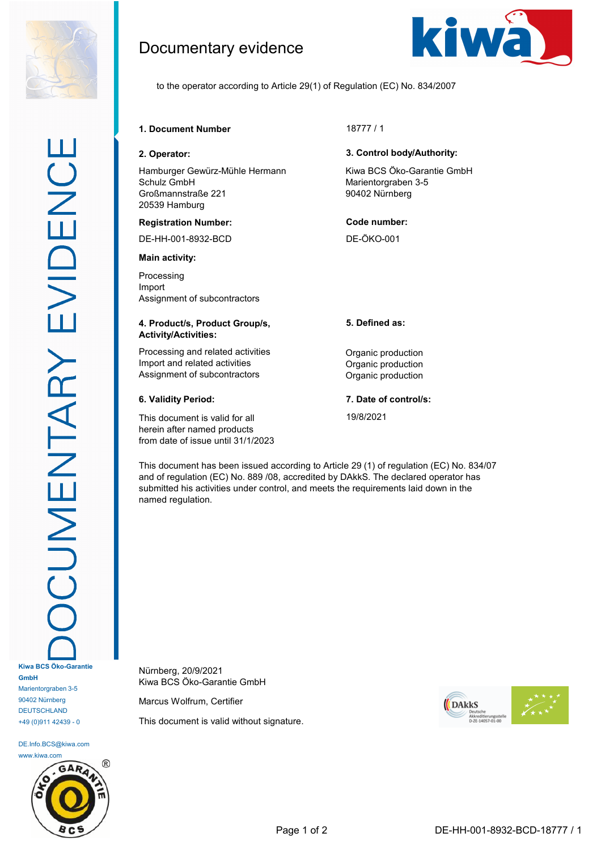

DE.Info.BCS@kiwa.com www.kiwa.com

+49 (0)911 42439 - 0



Documentary evidence



to the operator according to Article 29(1) of Regulation (EC) No. 834/2007

# **1. Document Number** 18777 / 1

Hamburger Gewürz-Mühle Hermann Schulz GmbH Großmannstraße 221 20539 Hamburg

## **Registration Number: Code number:**

DE-HH-001-8932-BCD DE-ÖKO-001

### **Main activity:**

Processing Import Assignment of subcontractors

## **4. Product/s, Product Group/s, Activity/Activities:**

Processing and related activities **Construction** Organic production Import and related activities **Contact Activities Organic production** Assignment of subcontractors **Contractors** Organic production

This document is valid for all herein after named products from date of issue until 31/1/2023

## **2. Operator: 3. Control body/Authority:**

Kiwa BCS Öko-Garantie GmbH Marientorgraben 3-5 90402 Nürnberg

## **5. Defined as:**

## **6. Validity Period: 7. Date of control/s:**

19/8/2021

This document has been issued according to Article 29 (1) of regulation (EC) No. 834/07 and of regulation (EC) No. 889 /08, accredited by DAkkS. The declared operator has submitted his activities under control, and meets the requirements laid down in the named regulation.

Nürnberg, 20/9/2021 Kiwa BCS Öko-Garantie GmbH

Marcus Wolfrum, Certifier

This document is valid without signature.